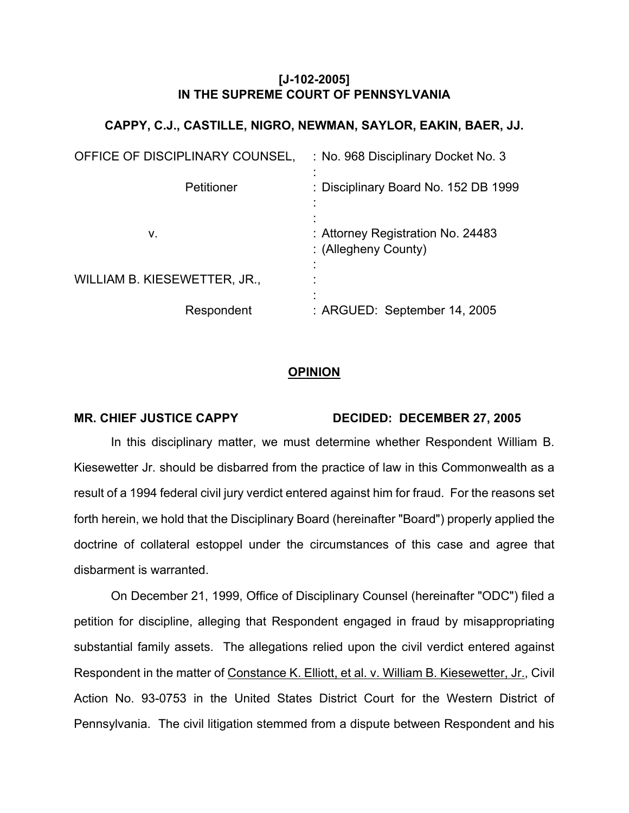## **[J-102-2005] IN THE SUPREME COURT OF PENNSYLVANIA**

## **CAPPY, C.J., CASTILLE, NIGRO, NEWMAN, SAYLOR, EAKIN, BAER, JJ.**

| OFFICE OF DISCIPLINARY COUNSEL, | : No. 968 Disciplinary Docket No. 3                       |
|---------------------------------|-----------------------------------------------------------|
| Petitioner                      | : Disciplinary Board No. 152 DB 1999                      |
| ۷.                              | : Attorney Registration No. 24483<br>: (Allegheny County) |
| WILLIAM B. KIESEWETTER, JR.,    |                                                           |
| Respondent                      | : ARGUED: September 14, 2005                              |

## **OPINION**

## MR. CHIEF JUSTICE CAPPY DECIDED: DECEMBER 27, 2005

 In this disciplinary matter, we must determine whether Respondent William B. Kiesewetter Jr. should be disbarred from the practice of law in this Commonwealth as a result of a 1994 federal civil jury verdict entered against him for fraud. For the reasons set forth herein, we hold that the Disciplinary Board (hereinafter "Board") properly applied the doctrine of collateral estoppel under the circumstances of this case and agree that disbarment is warranted.

 On December 21, 1999, Office of Disciplinary Counsel (hereinafter "ODC") filed a petition for discipline, alleging that Respondent engaged in fraud by misappropriating substantial family assets. The allegations relied upon the civil verdict entered against Respondent in the matter of Constance K. Elliott, et al. v. William B. Kiesewetter, Jr., Civil Action No. 93-0753 in the United States District Court for the Western District of Pennsylvania. The civil litigation stemmed from a dispute between Respondent and his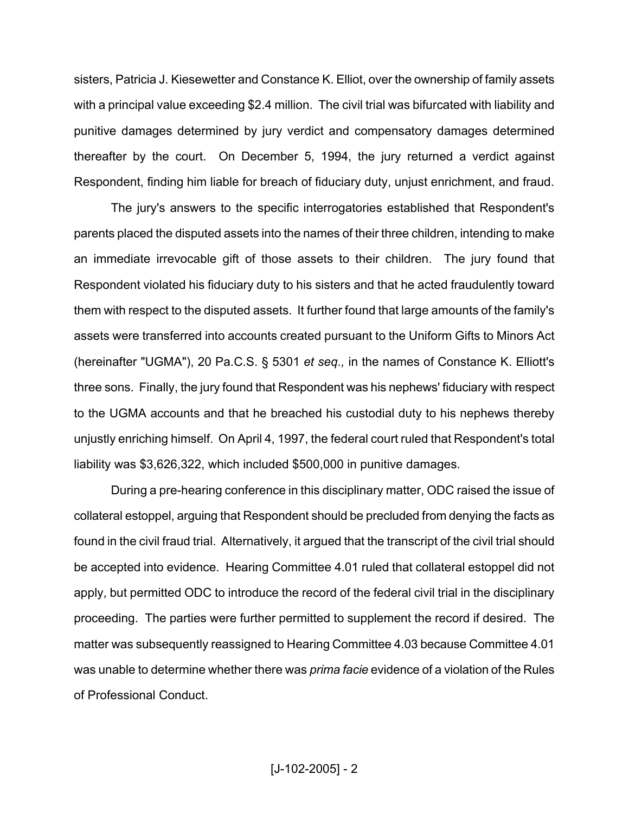sisters, Patricia J. Kiesewetter and Constance K. Elliot, over the ownership of family assets with a principal value exceeding \$2.4 million. The civil trial was bifurcated with liability and punitive damages determined by jury verdict and compensatory damages determined thereafter by the court. On December 5, 1994, the jury returned a verdict against Respondent, finding him liable for breach of fiduciary duty, unjust enrichment, and fraud.

 The jury's answers to the specific interrogatories established that Respondent's parents placed the disputed assets into the names of their three children, intending to make an immediate irrevocable gift of those assets to their children. The jury found that Respondent violated his fiduciary duty to his sisters and that he acted fraudulently toward them with respect to the disputed assets. It further found that large amounts of the family's assets were transferred into accounts created pursuant to the Uniform Gifts to Minors Act (hereinafter "UGMA"), 20 Pa.C.S. § 5301 *et seq.,* in the names of Constance K. Elliott's three sons. Finally, the jury found that Respondent was his nephews' fiduciary with respect to the UGMA accounts and that he breached his custodial duty to his nephews thereby unjustly enriching himself. On April 4, 1997, the federal court ruled that Respondent's total liability was \$3,626,322, which included \$500,000 in punitive damages.

 During a pre-hearing conference in this disciplinary matter, ODC raised the issue of collateral estoppel, arguing that Respondent should be precluded from denying the facts as found in the civil fraud trial. Alternatively, it argued that the transcript of the civil trial should be accepted into evidence. Hearing Committee 4.01 ruled that collateral estoppel did not apply, but permitted ODC to introduce the record of the federal civil trial in the disciplinary proceeding. The parties were further permitted to supplement the record if desired. The matter was subsequently reassigned to Hearing Committee 4.03 because Committee 4.01 was unable to determine whether there was *prima facie* evidence of a violation of the Rules of Professional Conduct.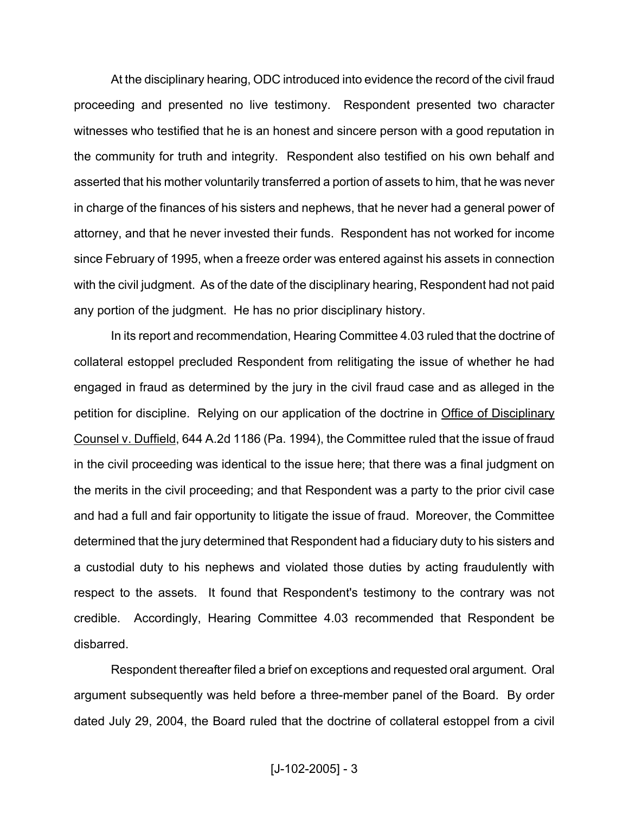At the disciplinary hearing, ODC introduced into evidence the record of the civil fraud proceeding and presented no live testimony. Respondent presented two character witnesses who testified that he is an honest and sincere person with a good reputation in the community for truth and integrity. Respondent also testified on his own behalf and asserted that his mother voluntarily transferred a portion of assets to him, that he was never in charge of the finances of his sisters and nephews, that he never had a general power of attorney, and that he never invested their funds. Respondent has not worked for income since February of 1995, when a freeze order was entered against his assets in connection with the civil judgment. As of the date of the disciplinary hearing, Respondent had not paid any portion of the judgment. He has no prior disciplinary history.

 In its report and recommendation, Hearing Committee 4.03 ruled that the doctrine of collateral estoppel precluded Respondent from relitigating the issue of whether he had engaged in fraud as determined by the jury in the civil fraud case and as alleged in the petition for discipline. Relying on our application of the doctrine in Office of Disciplinary Counsel v. Duffield, 644 A.2d 1186 (Pa. 1994), the Committee ruled that the issue of fraud in the civil proceeding was identical to the issue here; that there was a final judgment on the merits in the civil proceeding; and that Respondent was a party to the prior civil case and had a full and fair opportunity to litigate the issue of fraud. Moreover, the Committee determined that the jury determined that Respondent had a fiduciary duty to his sisters and a custodial duty to his nephews and violated those duties by acting fraudulently with respect to the assets. It found that Respondent's testimony to the contrary was not credible. Accordingly, Hearing Committee 4.03 recommended that Respondent be disbarred.

 Respondent thereafter filed a brief on exceptions and requested oral argument. Oral argument subsequently was held before a three-member panel of the Board. By order dated July 29, 2004, the Board ruled that the doctrine of collateral estoppel from a civil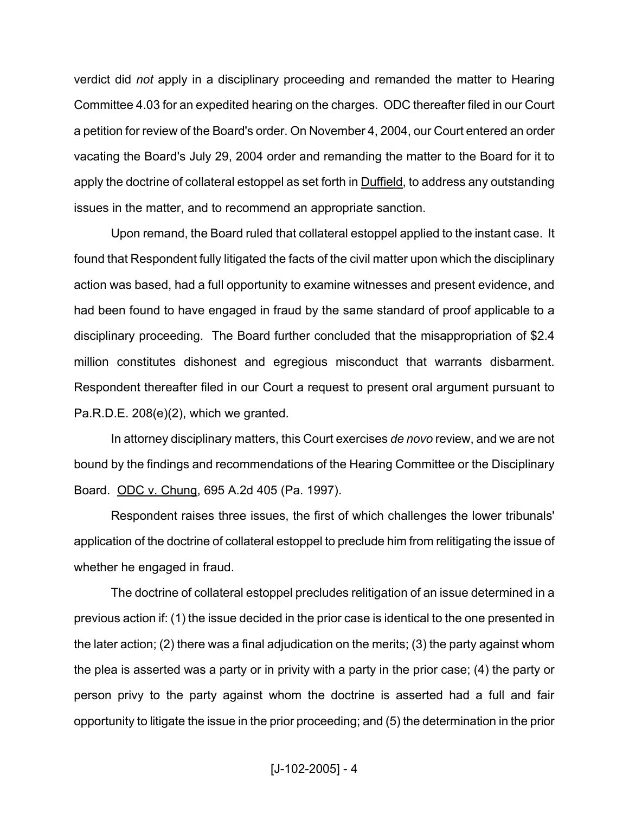verdict did *not* apply in a disciplinary proceeding and remanded the matter to Hearing Committee 4.03 for an expedited hearing on the charges. ODC thereafter filed in our Court a petition for review of the Board's order. On November 4, 2004, our Court entered an order vacating the Board's July 29, 2004 order and remanding the matter to the Board for it to apply the doctrine of collateral estoppel as set forth in **Duffield**, to address any outstanding issues in the matter, and to recommend an appropriate sanction.

 Upon remand, the Board ruled that collateral estoppel applied to the instant case. It found that Respondent fully litigated the facts of the civil matter upon which the disciplinary action was based, had a full opportunity to examine witnesses and present evidence, and had been found to have engaged in fraud by the same standard of proof applicable to a disciplinary proceeding. The Board further concluded that the misappropriation of \$2.4 million constitutes dishonest and egregious misconduct that warrants disbarment. Respondent thereafter filed in our Court a request to present oral argument pursuant to Pa.R.D.E. 208(e)(2), which we granted.

 In attorney disciplinary matters, this Court exercises *de novo* review, and we are not bound by the findings and recommendations of the Hearing Committee or the Disciplinary Board. ODC v. Chung, 695 A.2d 405 (Pa. 1997).

 Respondent raises three issues, the first of which challenges the lower tribunals' application of the doctrine of collateral estoppel to preclude him from relitigating the issue of whether he engaged in fraud.

 The doctrine of collateral estoppel precludes relitigation of an issue determined in a previous action if: (1) the issue decided in the prior case is identical to the one presented in the later action; (2) there was a final adjudication on the merits; (3) the party against whom the plea is asserted was a party or in privity with a party in the prior case; (4) the party or person privy to the party against whom the doctrine is asserted had a full and fair opportunity to litigate the issue in the prior proceeding; and (5) the determination in the prior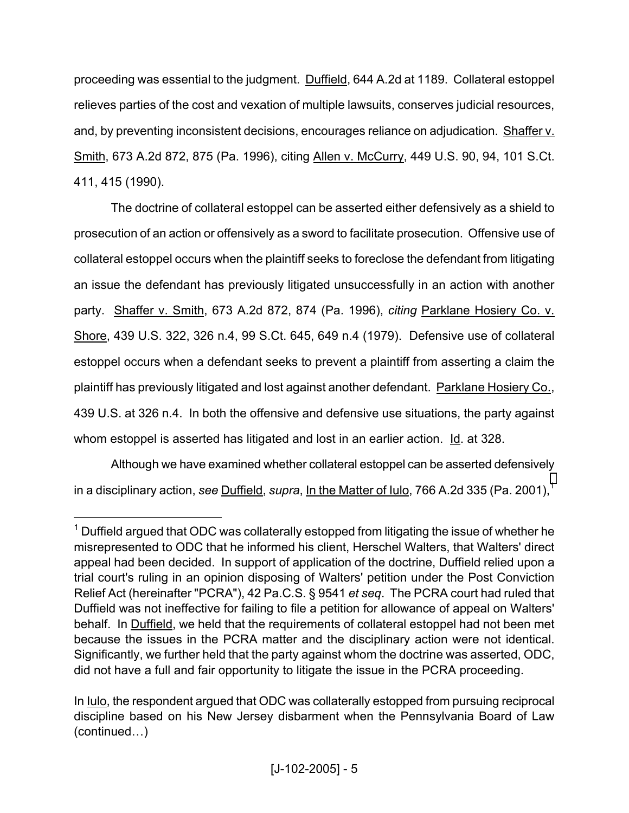proceeding was essential to the judgment. Duffield, 644 A.2d at 1189. Collateral estoppel relieves parties of the cost and vexation of multiple lawsuits, conserves judicial resources, and, by preventing inconsistent decisions, encourages reliance on adjudication. Shaffer v. Smith, 673 A.2d 872, 875 (Pa. 1996), citing Allen v. McCurry, 449 U.S. 90, 94, 101 S.Ct. 411, 415 (1990).

 The doctrine of collateral estoppel can be asserted either defensively as a shield to prosecution of an action or offensively as a sword to facilitate prosecution. Offensive use of collateral estoppel occurs when the plaintiff seeks to foreclose the defendant from litigating an issue the defendant has previously litigated unsuccessfully in an action with another party. Shaffer v. Smith, 673 A.2d 872, 874 (Pa. 1996), *citing* Parklane Hosiery Co. v. Shore, 439 U.S. 322, 326 n.4, 99 S.Ct. 645, 649 n.4 (1979). Defensive use of collateral estoppel occurs when a defendant seeks to prevent a plaintiff from asserting a claim the plaintiff has previously litigated and lost against another defendant. Parklane Hosiery Co., 439 U.S. at 326 n.4. In both the offensive and defensive use situations, the party against whom estoppel is asserted has litigated and lost in an earlier action. Id. at 328.

 Although we have examined whether collateral estoppel can be asserted defensively in a disciplinary action, *see* Duffield, *supra*, In the Matter of Iulo, 766 A.2d 335 (Pa. 200[1](#page-4-0)),<sup>1</sup>

<u>.</u>

<span id="page-4-0"></span> $1$  Duffield argued that ODC was collaterally estopped from litigating the issue of whether he misrepresented to ODC that he informed his client, Herschel Walters, that Walters' direct appeal had been decided. In support of application of the doctrine, Duffield relied upon a trial court's ruling in an opinion disposing of Walters' petition under the Post Conviction Relief Act (hereinafter "PCRA"), 42 Pa.C.S. § 9541 *et seq*. The PCRA court had ruled that Duffield was not ineffective for failing to file a petition for allowance of appeal on Walters' behalf. In Duffield, we held that the requirements of collateral estoppel had not been met because the issues in the PCRA matter and the disciplinary action were not identical. Significantly, we further held that the party against whom the doctrine was asserted, ODC, did not have a full and fair opportunity to litigate the issue in the PCRA proceeding.

In Iulo, the respondent argued that ODC was collaterally estopped from pursuing reciprocal discipline based on his New Jersey disbarment when the Pennsylvania Board of Law (continued…)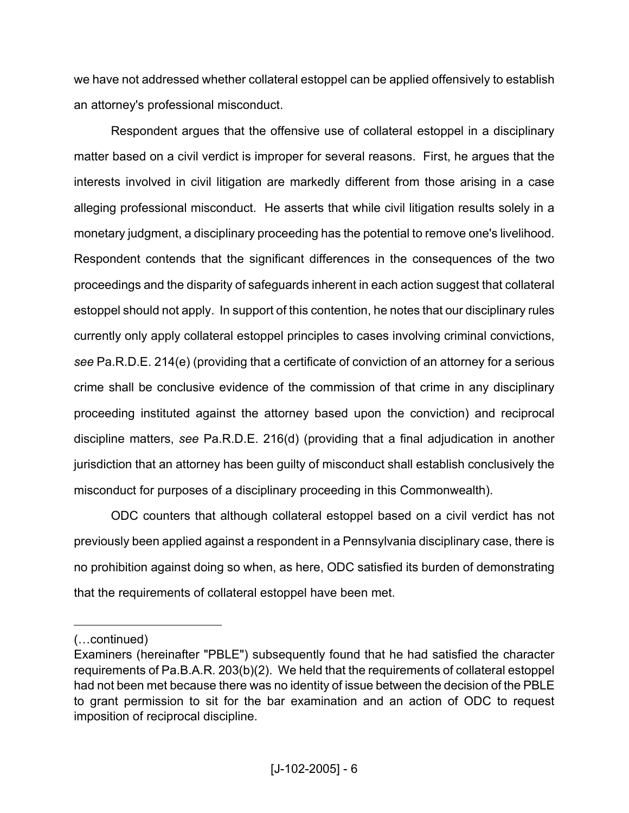we have not addressed whether collateral estoppel can be applied offensively to establish an attorney's professional misconduct.

 Respondent argues that the offensive use of collateral estoppel in a disciplinary matter based on a civil verdict is improper for several reasons. First, he argues that the interests involved in civil litigation are markedly different from those arising in a case alleging professional misconduct. He asserts that while civil litigation results solely in a monetary judgment, a disciplinary proceeding has the potential to remove one's livelihood. Respondent contends that the significant differences in the consequences of the two proceedings and the disparity of safeguards inherent in each action suggest that collateral estoppel should not apply. In support of this contention, he notes that our disciplinary rules currently only apply collateral estoppel principles to cases involving criminal convictions, *see* Pa.R.D.E. 214(e) (providing that a certificate of conviction of an attorney for a serious crime shall be conclusive evidence of the commission of that crime in any disciplinary proceeding instituted against the attorney based upon the conviction) and reciprocal discipline matters, *see* Pa.R.D.E. 216(d) (providing that a final adjudication in another jurisdiction that an attorney has been guilty of misconduct shall establish conclusively the misconduct for purposes of a disciplinary proceeding in this Commonwealth).

 ODC counters that although collateral estoppel based on a civil verdict has not previously been applied against a respondent in a Pennsylvania disciplinary case, there is no prohibition against doing so when, as here, ODC satisfied its burden of demonstrating that the requirements of collateral estoppel have been met.

<sup>(…</sup>continued)

Examiners (hereinafter "PBLE") subsequently found that he had satisfied the character requirements of Pa.B.A.R. 203(b)(2). We held that the requirements of collateral estoppel had not been met because there was no identity of issue between the decision of the PBLE to grant permission to sit for the bar examination and an action of ODC to request imposition of reciprocal discipline.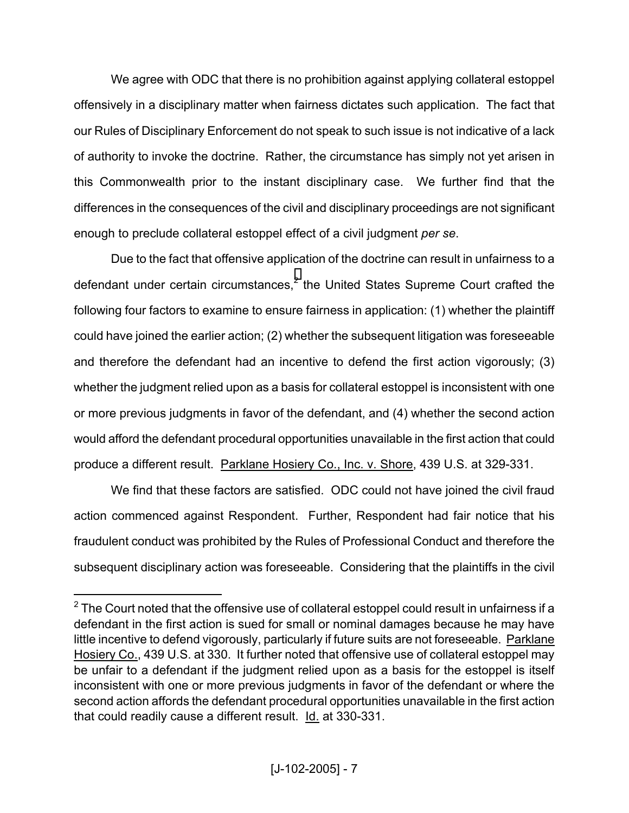We agree with ODC that there is no prohibition against applying collateral estoppel offensively in a disciplinary matter when fairness dictates such application. The fact that our Rules of Disciplinary Enforcement do not speak to such issue is not indicative of a lack of authority to invoke the doctrine. Rather, the circumstance has simply not yet arisen in this Commonwealth prior to the instant disciplinary case. We further find that the differences in the consequences of the civil and disciplinary proceedings are not significant enough to preclude collateral estoppel effect of a civil judgment *per se*.

 Due to the fact that offensive application of the doctrine can result in unfairness to a defendant under certain circumstances,<sup>[2](#page-6-0)</sup> the United States Supreme Court crafted the following four factors to examine to ensure fairness in application: (1) whether the plaintiff could have joined the earlier action; (2) whether the subsequent litigation was foreseeable and therefore the defendant had an incentive to defend the first action vigorously; (3) whether the judgment relied upon as a basis for collateral estoppel is inconsistent with one or more previous judgments in favor of the defendant, and (4) whether the second action would afford the defendant procedural opportunities unavailable in the first action that could produce a different result. Parklane Hosiery Co., Inc. v. Shore, 439 U.S. at 329-331.

 We find that these factors are satisfied. ODC could not have joined the civil fraud action commenced against Respondent. Further, Respondent had fair notice that his fraudulent conduct was prohibited by the Rules of Professional Conduct and therefore the subsequent disciplinary action was foreseeable. Considering that the plaintiffs in the civil

<span id="page-6-0"></span> $^2$  The Court noted that the offensive use of collateral estoppel could result in unfairness if a defendant in the first action is sued for small or nominal damages because he may have little incentive to defend vigorously, particularly if future suits are not foreseeable. Parklane Hosiery Co., 439 U.S. at 330. It further noted that offensive use of collateral estoppel may be unfair to a defendant if the judgment relied upon as a basis for the estoppel is itself inconsistent with one or more previous judgments in favor of the defendant or where the second action affords the defendant procedural opportunities unavailable in the first action that could readily cause a different result. Id. at 330-331.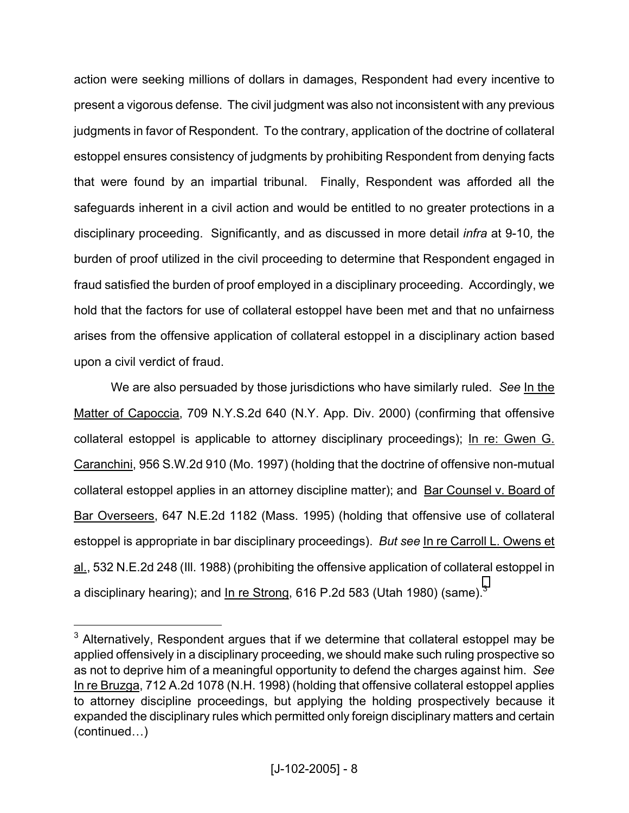action were seeking millions of dollars in damages, Respondent had every incentive to present a vigorous defense. The civil judgment was also not inconsistent with any previous judgments in favor of Respondent. To the contrary, application of the doctrine of collateral estoppel ensures consistency of judgments by prohibiting Respondent from denying facts that were found by an impartial tribunal. Finally, Respondent was afforded all the safeguards inherent in a civil action and would be entitled to no greater protections in a disciplinary proceeding. Significantly, and as discussed in more detail *infra* at 9-10*,* the burden of proof utilized in the civil proceeding to determine that Respondent engaged in fraud satisfied the burden of proof employed in a disciplinary proceeding. Accordingly, we hold that the factors for use of collateral estoppel have been met and that no unfairness arises from the offensive application of collateral estoppel in a disciplinary action based upon a civil verdict of fraud.

 We are also persuaded by those jurisdictions who have similarly ruled. *See* In the Matter of Capoccia, 709 N.Y.S.2d 640 (N.Y. App. Div. 2000) (confirming that offensive collateral estoppel is applicable to attorney disciplinary proceedings); In re: Gwen G. Caranchini, 956 S.W.2d 910 (Mo. 1997) (holding that the doctrine of offensive non-mutual collateral estoppel applies in an attorney discipline matter); and Bar Counsel v. Board of Bar Overseers, 647 N.E.2d 1182 (Mass. 1995) (holding that offensive use of collateral estoppel is appropriate in bar disciplinary proceedings). *But see* In re Carroll L. Owens et al., 532 N.E.2d 248 (Ill. 1988) (prohibiting the offensive application of collateral estoppel in a disciplinary hearing); and In re Strong, 616 P.2d 583 (Utah 1980) (same).<sup>3</sup>

<span id="page-7-0"></span> $3$  Alternatively, Respondent argues that if we determine that collateral estoppel may be applied offensively in a disciplinary proceeding, we should make such ruling prospective so as not to deprive him of a meaningful opportunity to defend the charges against him. *See* In re Bruzga, 712 A.2d 1078 (N.H. 1998) (holding that offensive collateral estoppel applies to attorney discipline proceedings, but applying the holding prospectively because it expanded the disciplinary rules which permitted only foreign disciplinary matters and certain (continued…)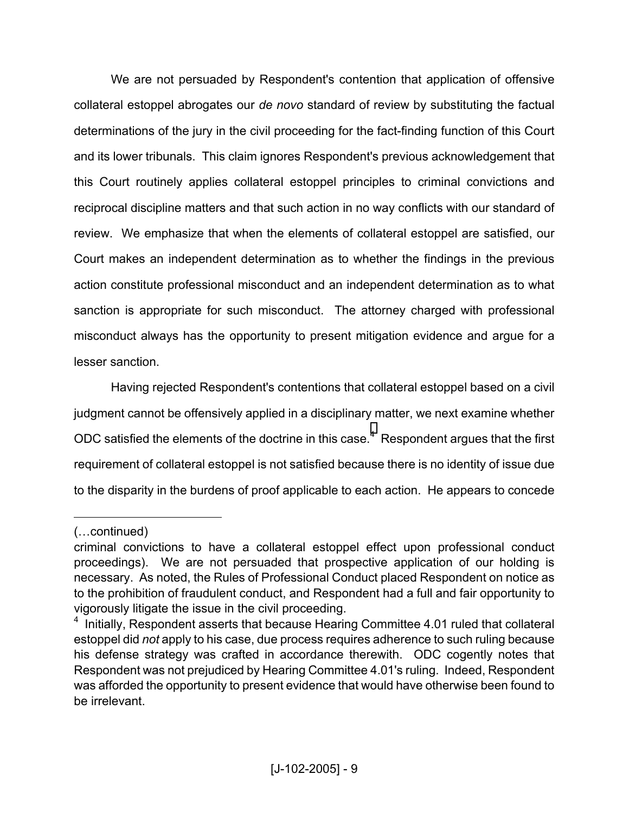We are not persuaded by Respondent's contention that application of offensive collateral estoppel abrogates our *de novo* standard of review by substituting the factual determinations of the jury in the civil proceeding for the fact-finding function of this Court and its lower tribunals. This claim ignores Respondent's previous acknowledgement that this Court routinely applies collateral estoppel principles to criminal convictions and reciprocal discipline matters and that such action in no way conflicts with our standard of review. We emphasize that when the elements of collateral estoppel are satisfied, our Court makes an independent determination as to whether the findings in the previous action constitute professional misconduct and an independent determination as to what sanction is appropriate for such misconduct. The attorney charged with professional misconduct always has the opportunity to present mitigation evidence and argue for a lesser sanction.

 Having rejected Respondent's contentions that collateral estoppel based on a civil judgment cannot be offensively applied in a disciplinary matter, we next examine whether ODC satisfied the elements of the doctrine in this case. $4$  Respondent argues that the first requirement of collateral estoppel is not satisfied because there is no identity of issue due to the disparity in the burdens of proof applicable to each action. He appears to concede

<sup>(…</sup>continued)

criminal convictions to have a collateral estoppel effect upon professional conduct proceedings). We are not persuaded that prospective application of our holding is necessary. As noted, the Rules of Professional Conduct placed Respondent on notice as to the prohibition of fraudulent conduct, and Respondent had a full and fair opportunity to vigorously litigate the issue in the civil proceeding.

<span id="page-8-0"></span><sup>&</sup>lt;sup>4</sup> Initially, Respondent asserts that because Hearing Committee 4.01 ruled that collateral estoppel did *not* apply to his case, due process requires adherence to such ruling because his defense strategy was crafted in accordance therewith. ODC cogently notes that Respondent was not prejudiced by Hearing Committee 4.01's ruling. Indeed, Respondent was afforded the opportunity to present evidence that would have otherwise been found to be irrelevant.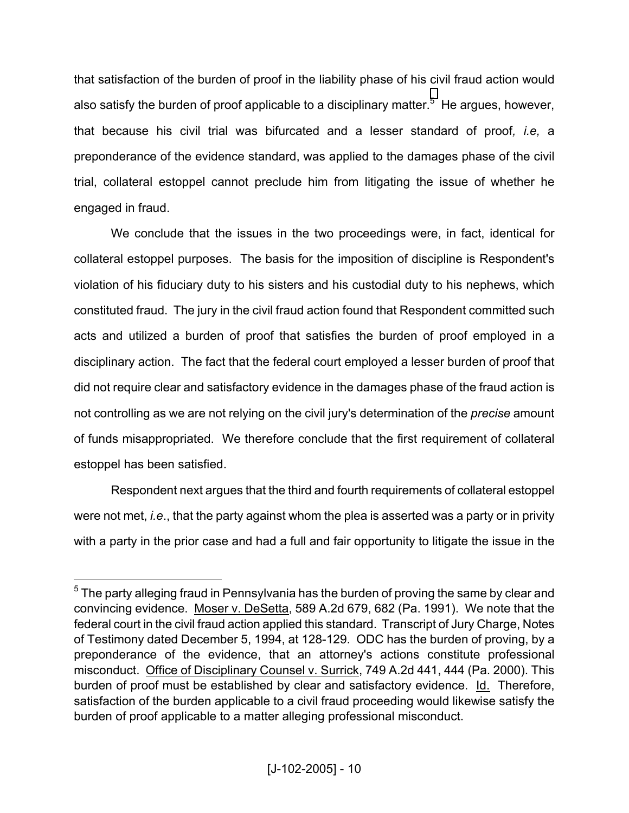that satisfaction of the burden of proof in the liability phase of his civil fraud action would also satisfy the burden of proof applicable to a disciplinary matter.<sup>[5](#page-9-0)</sup> He argues, however, that because his civil trial was bifurcated and a lesser standard of proof*, i.e,* a preponderance of the evidence standard, was applied to the damages phase of the civil trial, collateral estoppel cannot preclude him from litigating the issue of whether he engaged in fraud.

 We conclude that the issues in the two proceedings were, in fact, identical for collateral estoppel purposes. The basis for the imposition of discipline is Respondent's violation of his fiduciary duty to his sisters and his custodial duty to his nephews, which constituted fraud. The jury in the civil fraud action found that Respondent committed such acts and utilized a burden of proof that satisfies the burden of proof employed in a disciplinary action. The fact that the federal court employed a lesser burden of proof that did not require clear and satisfactory evidence in the damages phase of the fraud action is not controlling as we are not relying on the civil jury's determination of the *precise* amount of funds misappropriated. We therefore conclude that the first requirement of collateral estoppel has been satisfied.

 Respondent next argues that the third and fourth requirements of collateral estoppel were not met, *i.e*., that the party against whom the plea is asserted was a party or in privity with a party in the prior case and had a full and fair opportunity to litigate the issue in the

<u>.</u>

<span id="page-9-0"></span> $5$  The party alleging fraud in Pennsylvania has the burden of proving the same by clear and convincing evidence. Moser v. DeSetta, 589 A.2d 679, 682 (Pa. 1991). We note that the federal court in the civil fraud action applied this standard. Transcript of Jury Charge, Notes of Testimony dated December 5, 1994, at 128-129. ODC has the burden of proving, by a preponderance of the evidence, that an attorney's actions constitute professional misconduct. Office of Disciplinary Counsel v. Surrick, 749 A.2d 441, 444 (Pa. 2000). This burden of proof must be established by clear and satisfactory evidence. Id. Therefore, satisfaction of the burden applicable to a civil fraud proceeding would likewise satisfy the burden of proof applicable to a matter alleging professional misconduct.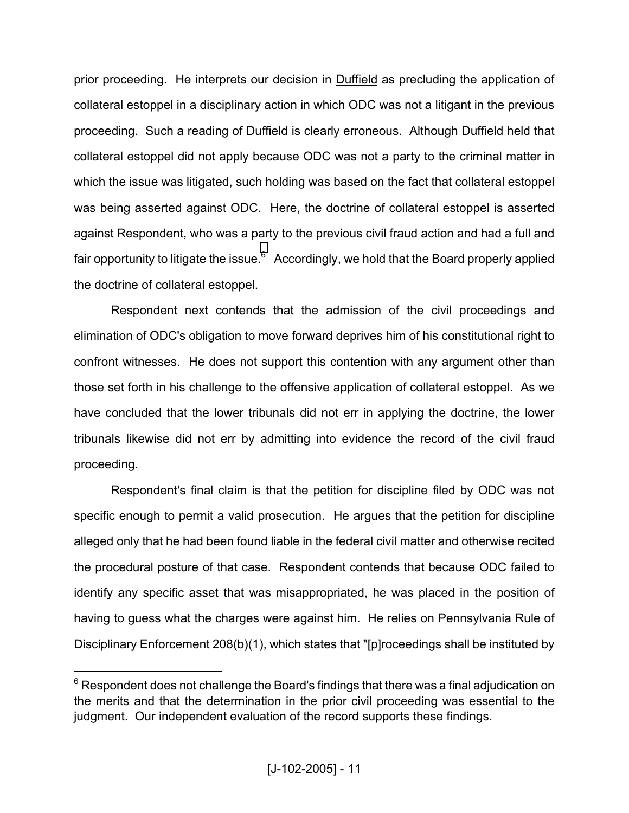prior proceeding. He interprets our decision in Duffield as precluding the application of collateral estoppel in a disciplinary action in which ODC was not a litigant in the previous proceeding. Such a reading of Duffield is clearly erroneous. Although Duffield held that collateral estoppel did not apply because ODC was not a party to the criminal matter in which the issue was litigated, such holding was based on the fact that collateral estoppel was being asserted against ODC. Here, the doctrine of collateral estoppel is asserted against Respondent, who was a party to the previous civil fraud action and had a full and fair opportunity to litigate the issue. $^6$  $^6$  Accordingly, we hold that the Board properly applied the doctrine of collateral estoppel.

 Respondent next contends that the admission of the civil proceedings and elimination of ODC's obligation to move forward deprives him of his constitutional right to confront witnesses. He does not support this contention with any argument other than those set forth in his challenge to the offensive application of collateral estoppel. As we have concluded that the lower tribunals did not err in applying the doctrine, the lower tribunals likewise did not err by admitting into evidence the record of the civil fraud proceeding.

 Respondent's final claim is that the petition for discipline filed by ODC was not specific enough to permit a valid prosecution. He argues that the petition for discipline alleged only that he had been found liable in the federal civil matter and otherwise recited the procedural posture of that case. Respondent contends that because ODC failed to identify any specific asset that was misappropriated, he was placed in the position of having to guess what the charges were against him. He relies on Pennsylvania Rule of Disciplinary Enforcement 208(b)(1), which states that "[p]roceedings shall be instituted by

<span id="page-10-0"></span> $^6$  Respondent does not challenge the Board's findings that there was a final adjudication on the merits and that the determination in the prior civil proceeding was essential to the judgment. Our independent evaluation of the record supports these findings.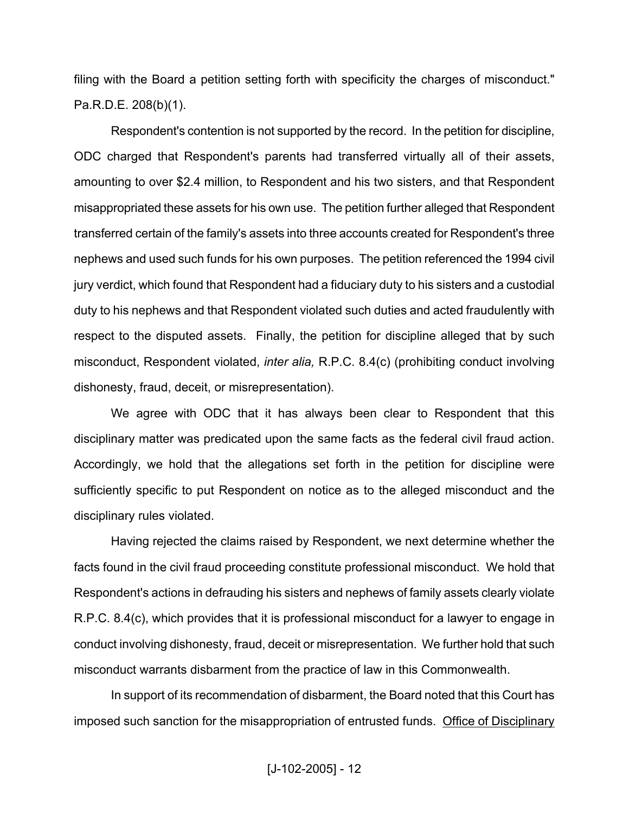filing with the Board a petition setting forth with specificity the charges of misconduct." Pa.R.D.E. 208(b)(1).

 Respondent's contention is not supported by the record. In the petition for discipline, ODC charged that Respondent's parents had transferred virtually all of their assets, amounting to over \$2.4 million, to Respondent and his two sisters, and that Respondent misappropriated these assets for his own use. The petition further alleged that Respondent transferred certain of the family's assets into three accounts created for Respondent's three nephews and used such funds for his own purposes. The petition referenced the 1994 civil jury verdict, which found that Respondent had a fiduciary duty to his sisters and a custodial duty to his nephews and that Respondent violated such duties and acted fraudulently with respect to the disputed assets. Finally, the petition for discipline alleged that by such misconduct, Respondent violated, *inter alia,* R.P.C. 8.4(c) (prohibiting conduct involving dishonesty, fraud, deceit, or misrepresentation).

 We agree with ODC that it has always been clear to Respondent that this disciplinary matter was predicated upon the same facts as the federal civil fraud action. Accordingly, we hold that the allegations set forth in the petition for discipline were sufficiently specific to put Respondent on notice as to the alleged misconduct and the disciplinary rules violated.

 Having rejected the claims raised by Respondent, we next determine whether the facts found in the civil fraud proceeding constitute professional misconduct. We hold that Respondent's actions in defrauding his sisters and nephews of family assets clearly violate R.P.C. 8.4(c), which provides that it is professional misconduct for a lawyer to engage in conduct involving dishonesty, fraud, deceit or misrepresentation. We further hold that such misconduct warrants disbarment from the practice of law in this Commonwealth.

 In support of its recommendation of disbarment, the Board noted that this Court has imposed such sanction for the misappropriation of entrusted funds. Office of Disciplinary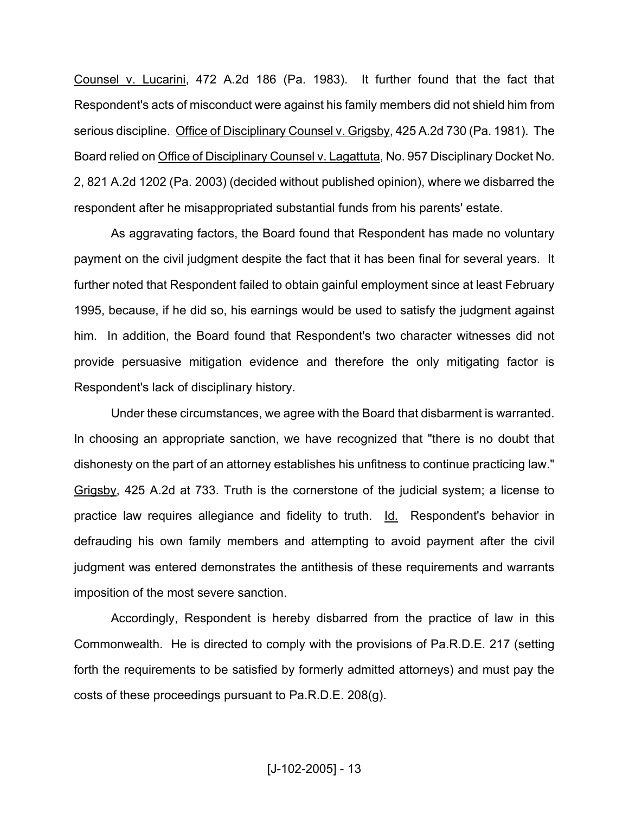Counsel v. Lucarini, 472 A.2d 186 (Pa. 1983). It further found that the fact that Respondent's acts of misconduct were against his family members did not shield him from serious discipline. Office of Disciplinary Counsel v. Grigsby, 425 A.2d 730 (Pa. 1981). The Board relied on Office of Disciplinary Counsel v. Lagattuta, No. 957 Disciplinary Docket No. 2, 821 A.2d 1202 (Pa. 2003) (decided without published opinion), where we disbarred the respondent after he misappropriated substantial funds from his parents' estate.

 As aggravating factors, the Board found that Respondent has made no voluntary payment on the civil judgment despite the fact that it has been final for several years. It further noted that Respondent failed to obtain gainful employment since at least February 1995, because, if he did so, his earnings would be used to satisfy the judgment against him. In addition, the Board found that Respondent's two character witnesses did not provide persuasive mitigation evidence and therefore the only mitigating factor is Respondent's lack of disciplinary history.

 Under these circumstances, we agree with the Board that disbarment is warranted. In choosing an appropriate sanction, we have recognized that "there is no doubt that dishonesty on the part of an attorney establishes his unfitness to continue practicing law." Grigsby, 425 A.2d at 733. Truth is the cornerstone of the judicial system; a license to practice law requires allegiance and fidelity to truth. Id. Respondent's behavior in defrauding his own family members and attempting to avoid payment after the civil judgment was entered demonstrates the antithesis of these requirements and warrants imposition of the most severe sanction.

 Accordingly, Respondent is hereby disbarred from the practice of law in this Commonwealth. He is directed to comply with the provisions of Pa.R.D.E. 217 (setting forth the requirements to be satisfied by formerly admitted attorneys) and must pay the costs of these proceedings pursuant to Pa.R.D.E. 208(g).